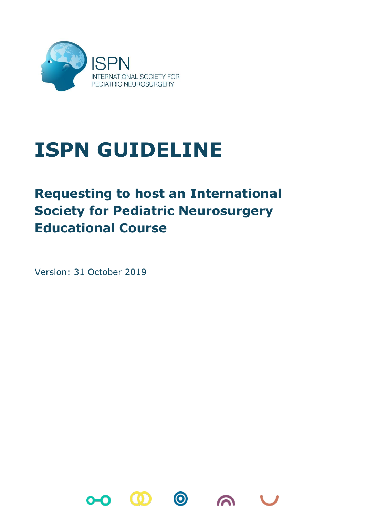

## **ISPN GUIDELINE**

## **Requesting to host an International Society for Pediatric Neurosurgery Educational Course**

Version: 31 October 2019

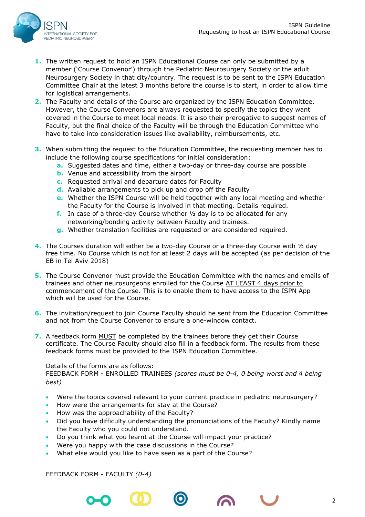

- **1.** The written request to hold an ISPN Educational Course can only be submitted by a member ('Course Convenor') through the Pediatric Neurosurgery Society or the adult Neurosurgery Society in that city/country. The request is to be sent to the ISPN Education Committee Chair at the latest 3 months before the course is to start, in order to allow time for logistical arrangements.
- **2.** The Faculty and details of the Course are organized by the ISPN Education Committee. However, the Course Convenors are always requested to specify the topics they want covered in the Course to meet local needs. It is also their prerogative to suggest names of Faculty, but the final choice of the Faculty will be through the Education Committee who have to take into consideration issues like availability, reimbursements, etc.
- **3.** When submitting the request to the Education Committee, the requesting member has to include the following course specifications for initial consideration:
	- **a.** Suggested dates and time, either a two-day or three-day course are possible
	- **b.** Venue and accessibility from the airport
	- **c.** Requested arrival and departure dates for Faculty
	- **d.** Available arrangements to pick up and drop off the Faculty
	- **e.** Whether the ISPN Course will be held together with any local meeting and whether the Faculty for the Course is involved in that meeting. Details required.
	- **f.** In case of a three-day Course whether ½ day is to be allocated for any networking/bonding activity between Faculty and trainees.
	- **g.** Whether translation facilities are requested or are considered required.
- **4.** The Courses duration will either be a two-day Course or a three-day Course with ½ day free time. No Course which is not for at least 2 days will be accepted (as per decision of the EB in Tel Aviv 2018)
- **5.** The Course Convenor must provide the Education Committee with the names and emails of trainees and other neurosurgeons enrolled for the Course AT LEAST 4 days prior to commencement of the Course. This is to enable them to have access to the ISPN App which will be used for the Course.
- **6.** The invitation/request to join Course Faculty should be sent from the Education Committee and not from the Course Convenor to ensure a one-window contact.
- **7.** A feedback form MUST be completed by the trainees before they get their Course certificate. The Course Faculty should also fill in a feedback form. The results from these feedback forms must be provided to the ISPN Education Committee.

## Details of the forms are as follows:

FEEDBACK FORM - ENROLLED TRAINEES *(scores must be 0-4, 0 being worst and 4 being best)*

- Were the topics covered relevant to your current practice in pediatric neurosurgery?
- How were the arrangements for stay at the Course?
- How was the approachability of the Faculty?
- Did you have difficulty understanding the pronunciations of the Faculty? Kindly name the Faculty who you could not understand.
- Do you think what you learnt at the Course will impact your practice?
- Were you happy with the case discussions in the Course?
- What else would you like to have seen as a part of the Course?

FEEDBACK FORM - FACULTY *(0-4)*